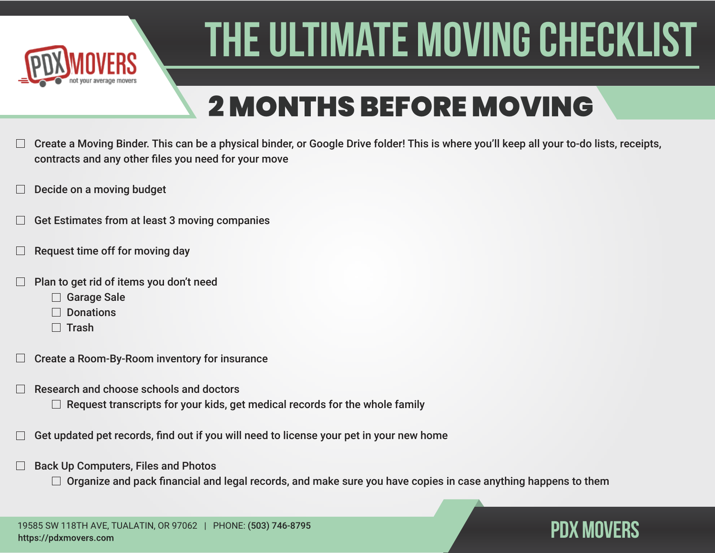

## 2 MONTHS BEFORE MOVING

- Create a Moving Binder. This can be a physical binder, or Google Drive folder! This is where you'll keep all your to-do lists, receipts, contracts and any other files you need for your move
- Decide on a moving budget
- Get Estimates from at least 3 moving companies
- Request time off for moving day
- Plan to get rid of items you don't need
	- □ Garage Sale
	- $\Box$  Donations
	- $\Box$  Trash
- Create a Room-By-Room inventory for insurance
- Research and choose schools and doctors
	- $\Box$  Request transcripts for your kids, get medical records for the whole family
- Get updated pet records, find out if you will need to license your pet in your new home
- Back Up Computers, Files and Photos
	- $\Box$  Organize and pack financial and legal records, and make sure you have copies in case anything happens to them

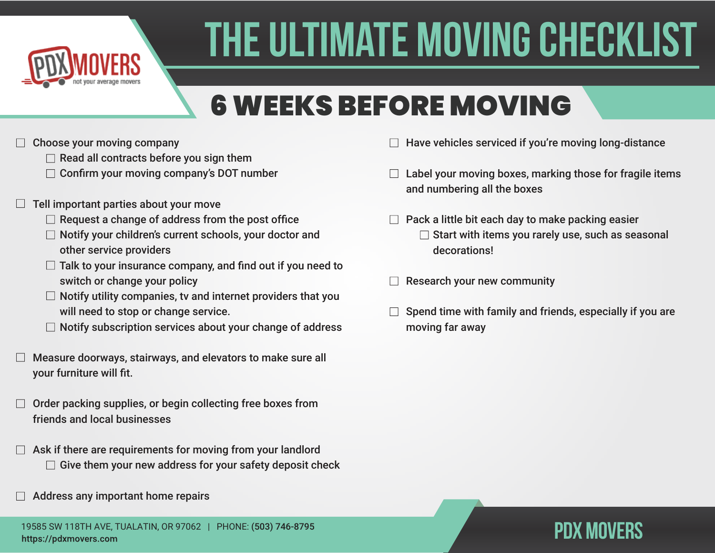

## 6 WEEKS BEFORE MOVING

- Choose your moving company
	- $\Box$  Read all contracts before you sign them
	- $\Box$  Confirm your moving company's DOT number
- Tell important parties about your move
	- $\Box$  Request a change of address from the post office
	- $\Box$  Notify your children's current schools, your doctor and other service providers
	- $\Box$  Talk to your insurance company, and find out if you need to switch or change your policy
	- $\Box$  Notify utility companies, tv and internet providers that you will need to stop or change service.
	- $\Box$  Notify subscription services about your change of address
- Measure doorways, stairways, and elevators to make sure all your furniture will fit.
- Order packing supplies, or begin collecting free boxes from friends and local businesses
- Ask if there are requirements for moving from your landlord  $\Box$  Give them your new address for your safety deposit check
- Address any important home repairs
- Have vehicles serviced if you're moving long-distance
- $\Box$  Label your moving boxes, marking those for fragile items and numbering all the boxes
- $\Box$  Pack a little bit each day to make packing easier  $\Box$  Start with items you rarely use, such as seasonal decorations!
- Research your new community
- Spend time with family and friends, especially if you are moving far away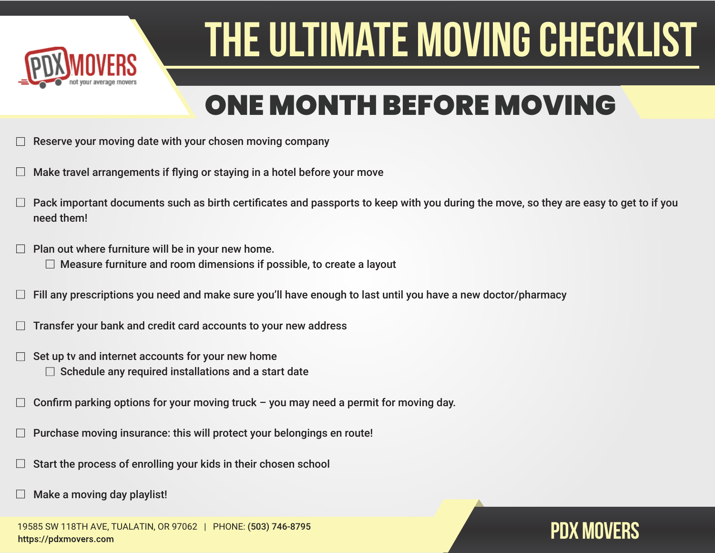

### ONE MONTH BEFORE MOVING

- Reserve your moving date with your chosen moving company
- Make travel arrangements if flying or staying in a hotel before your move
- Pack important documents such as birth certificates and passports to keep with you during the move, so they are easy to get to if you need them!
- Plan out where furniture will be in your new home.
	- $\Box$  Measure furniture and room dimensions if possible, to create a layout
- Fill any prescriptions you need and make sure you'll have enough to last until you have a new doctor/pharmacy
- Transfer your bank and credit card accounts to your new address
- Set up tv and internet accounts for your new home
	- $\Box$  Schedule any required installations and a start date
- Confirm parking options for your moving truck you may need a permit for moving day.
- Purchase moving insurance: this will protect your belongings en route!
- Start the process of enrolling your kids in their chosen school
- Make a moving day playlist!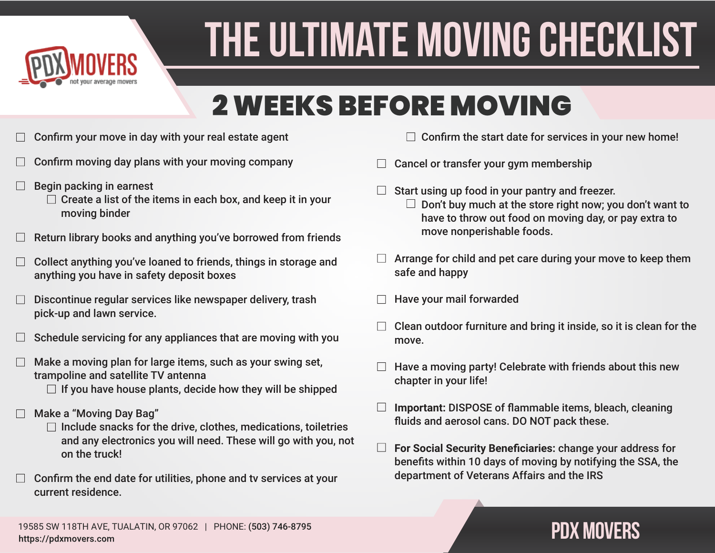

### 2 WEEKS BEFORE MOVING

- Confirm your move in day with your real estate agent
- Confirm moving day plans with your moving company
- Begin packing in earnest
	- $\Box$  Create a list of the items in each box, and keep it in your moving binder
- Return library books and anything you've borrowed from friends
- Collect anything you've loaned to friends, things in storage and anything you have in safety deposit boxes
- Discontinue regular services like newspaper delivery, trash pick-up and lawn service.
- Schedule servicing for any appliances that are moving with you
- Make a moving plan for large items, such as your swing set, trampoline and satellite TV antenna
	- $\Box$  If you have house plants, decide how they will be shipped
- Make a "Moving Day Bag"
	- $\Box$  Include snacks for the drive, clothes, medications, toiletries and any electronics you will need. These will go with you, not on the truck!
- Confirm the end date for utilities, phone and tv services at your current residence.
- $\Box$  Confirm the start date for services in your new home!
- Cancel or transfer your gym membership
- Start using up food in your pantry and freezer.  $\Box$  Don't buy much at the store right now; you don't want to have to throw out food on moving day, or pay extra to move nonperishable foods.
- $\Box$  Arrange for child and pet care during your move to keep them safe and happy
- Have your mail forwarded
- Clean outdoor furniture and bring it inside, so it is clean for the move.
- Have a moving party! Celebrate with friends about this new chapter in your life!
- $\Box$ **Important:** DISPOSE of flammable items, bleach, cleaning fluids and aerosol cans. DO NOT pack these.
- $\Box$ **For Social Security Beneficiaries:** change your address for benefits within 10 days of moving by notifying the SSA, the department of Veterans Affairs and the IRS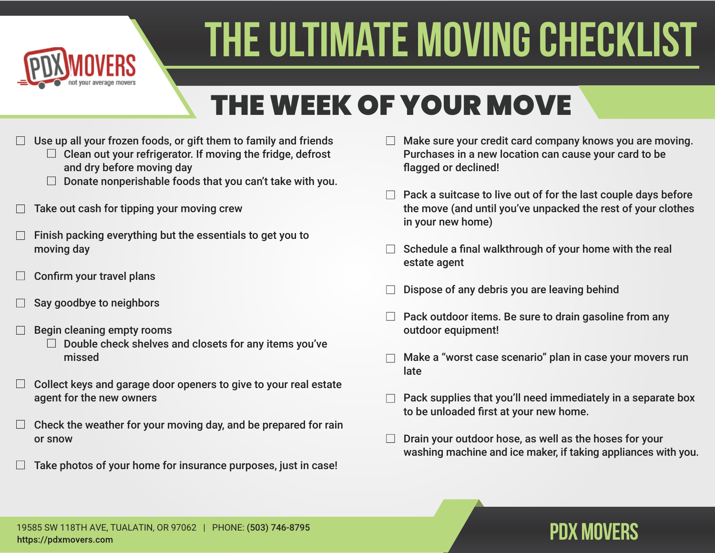

## THE WEEK OF YOUR MOVE

- Use up all your frozen foods, or gift them to family and friends
	- $\Box$  Clean out your refrigerator. If moving the fridge, defrost and dry before moving day
	- $\Box$  Donate nonperishable foods that you can't take with you.
- Take out cash for tipping your moving crew
- Finish packing everything but the essentials to get you to moving day
- Confirm your travel plans
- Say goodbye to neighbors
- Begin cleaning empty rooms
	- $\Box$  Double check shelves and closets for any items you've missed
- Collect keys and garage door openers to give to your real estate agent for the new owners
- Check the weather for your moving day, and be prepared for rain or snow
- Take photos of your home for insurance purposes, just in case!
- Make sure your credit card company knows you are moving. Purchases in a new location can cause your card to be flagged or declined!
- $\Box$  Pack a suitcase to live out of for the last couple days before the move (and until you've unpacked the rest of your clothes in your new home)
- Schedule a final walkthrough of your home with the real estate agent
- Dispose of any debris you are leaving behind
- Pack outdoor items. Be sure to drain gasoline from any outdoor equipment!
- Make a "worst case scenario" plan in case your movers run late
- Pack supplies that you'll need immediately in a separate box to be unloaded first at your new home.
- Drain your outdoor hose, as well as the hoses for your washing machine and ice maker, if taking appliances with you.

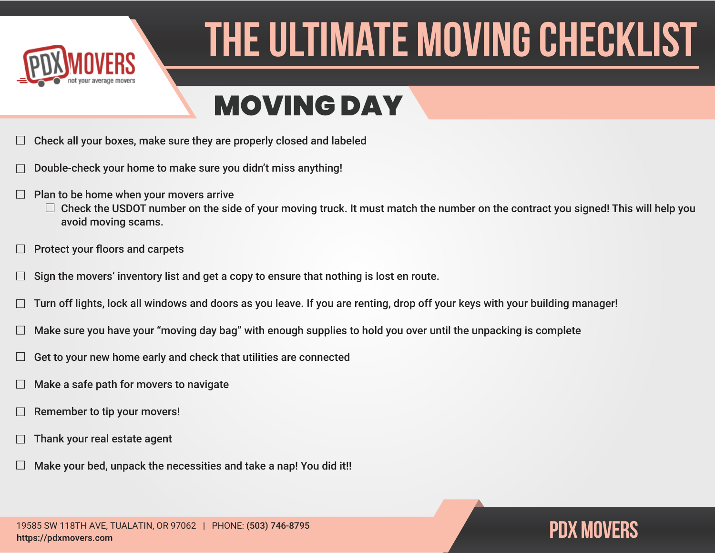

### MOVING DAY

- Check all your boxes, make sure they are properly closed and labeled
- Double-check your home to make sure you didn't miss anything!
- Plan to be home when your movers arrive
	- $\Box$  Check the USDOT number on the side of your moving truck. It must match the number on the contract you signed! This will help you avoid moving scams.
- Protect your floors and carpets
- Sign the movers' inventory list and get a copy to ensure that nothing is lost en route.
- Turn off lights, lock all windows and doors as you leave. If you are renting, drop off your keys with your building manager!
- Make sure you have your "moving day bag" with enough supplies to hold you over until the unpacking is complete
- Get to your new home early and check that utilities are connected
- Make a safe path for movers to navigate
- Remember to tip your movers!
- Thank your real estate agent
- Make your bed, unpack the necessities and take a nap! You did it!!

19585 SW 118TH AVE, TUALATIN, OR 97062 | PHONE: (503) 746-8795 https://pdxmovers.com